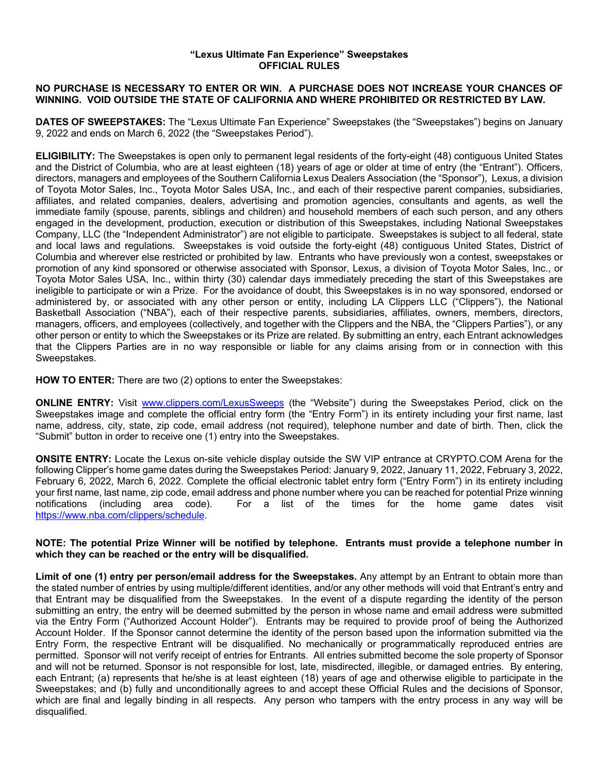## **"Lexus Ultimate Fan Experience" Sweepstakes OFFICIAL RULES**

## **NO PURCHASE IS NECESSARY TO ENTER OR WIN. A PURCHASE DOES NOT INCREASE YOUR CHANCES OF WINNING. VOID OUTSIDE THE STATE OF CALIFORNIA AND WHERE PROHIBITED OR RESTRICTED BY LAW.**

**DATES OF SWEEPSTAKES:** The "Lexus Ultimate Fan Experience" Sweepstakes (the "Sweepstakes") begins on January 9, 2022 and ends on March 6, 2022 (the "Sweepstakes Period").

**ELIGIBILITY:** The Sweepstakes is open only to permanent legal residents of the forty-eight (48) contiguous United States and the District of Columbia, who are at least eighteen (18) years of age or older at time of entry (the "Entrant"). Officers, directors, managers and employees of the Southern California Lexus Dealers Association (the "Sponsor"), Lexus, a division of Toyota Motor Sales, Inc., Toyota Motor Sales USA, Inc., and each of their respective parent companies, subsidiaries, affiliates, and related companies, dealers, advertising and promotion agencies, consultants and agents, as well the immediate family (spouse, parents, siblings and children) and household members of each such person, and any others engaged in the development, production, execution or distribution of this Sweepstakes, including National Sweepstakes Company, LLC (the "Independent Administrator") are not eligible to participate. Sweepstakes is subject to all federal, state and local laws and regulations. Sweepstakes is void outside the forty-eight (48) contiguous United States, District of Columbia and wherever else restricted or prohibited by law. Entrants who have previously won a contest, sweepstakes or promotion of any kind sponsored or otherwise associated with Sponsor, Lexus, a division of Toyota Motor Sales, Inc., or Toyota Motor Sales USA, Inc., within thirty (30) calendar days immediately preceding the start of this Sweepstakes are ineligible to participate or win a Prize. For the avoidance of doubt, this Sweepstakes is in no way sponsored, endorsed or administered by, or associated with any other person or entity, including LA Clippers LLC ("Clippers"), the National Basketball Association ("NBA"), each of their respective parents, subsidiaries, affiliates, owners, members, directors, managers, officers, and employees (collectively, and together with the Clippers and the NBA, the "Clippers Parties"), or any other person or entity to which the Sweepstakes or its Prize are related. By submitting an entry, each Entrant acknowledges that the Clippers Parties are in no way responsible or liable for any claims arising from or in connection with this Sweepstakes.

**HOW TO ENTER:** There are two (2) options to enter the Sweepstakes:

**ONLINE ENTRY:** Visit www.clippers.com/LexusSweeps (the "Website") during the Sweepstakes Period, click on the Sweepstakes image and complete the official entry form (the "Entry Form") in its entirety including your first name, last name, address, city, state, zip code, email address (not required), telephone number and date of birth. Then, click the "Submit" button in order to receive one (1) entry into the Sweepstakes.

**ONSITE ENTRY:** Locate the Lexus on-site vehicle display outside the SW VIP entrance at CRYPTO.COM Arena for the following Clipper's home game dates during the Sweepstakes Period: January 9, 2022, January 11, 2022, February 3, 2022, February 6, 2022, March 6, 2022. Complete the official electronic tablet entry form ("Entry Form") in its entirety including your first name, last name, zip code, email address and phone number where you can be reached for potential Prize winning notifications (including area code). For a list of the times for the home game dates visit https://www.nba.com/clippers/schedule.

## **NOTE: The potential Prize Winner will be notified by telephone. Entrants must provide a telephone number in which they can be reached or the entry will be disqualified.**

**Limit of one (1) entry per person/email address for the Sweepstakes.** Any attempt by an Entrant to obtain more than the stated number of entries by using multiple/different identities, and/or any other methods will void that Entrant's entry and that Entrant may be disqualified from the Sweepstakes. In the event of a dispute regarding the identity of the person submitting an entry, the entry will be deemed submitted by the person in whose name and email address were submitted via the Entry Form ("Authorized Account Holder"). Entrants may be required to provide proof of being the Authorized Account Holder. If the Sponsor cannot determine the identity of the person based upon the information submitted via the Entry Form, the respective Entrant will be disqualified. No mechanically or programmatically reproduced entries are permitted. Sponsor will not verify receipt of entries for Entrants. All entries submitted become the sole property of Sponsor and will not be returned. Sponsor is not responsible for lost, late, misdirected, illegible, or damaged entries. By entering, each Entrant; (a) represents that he/she is at least eighteen (18) years of age and otherwise eligible to participate in the Sweepstakes; and (b) fully and unconditionally agrees to and accept these Official Rules and the decisions of Sponsor, which are final and legally binding in all respects. Any person who tampers with the entry process in any way will be disqualified.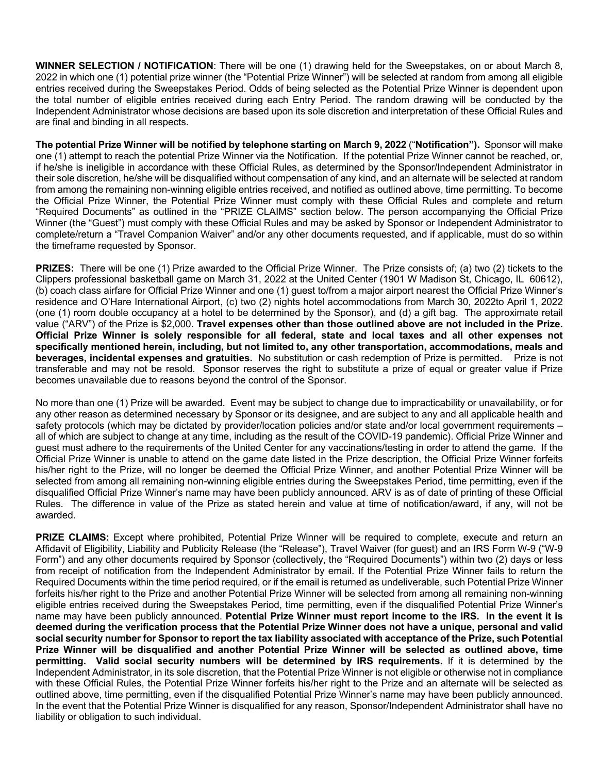**WINNER SELECTION / NOTIFICATION**: There will be one (1) drawing held for the Sweepstakes, on or about March 8, 2022 in which one (1) potential prize winner (the "Potential Prize Winner") will be selected at random from among all eligible entries received during the Sweepstakes Period. Odds of being selected as the Potential Prize Winner is dependent upon the total number of eligible entries received during each Entry Period. The random drawing will be conducted by the Independent Administrator whose decisions are based upon its sole discretion and interpretation of these Official Rules and are final and binding in all respects.

**The potential Prize Winner will be notified by telephone starting on March 9, 2022** ("**Notification").** Sponsor will make one (1) attempt to reach the potential Prize Winner via the Notification. If the potential Prize Winner cannot be reached, or, if he/she is ineligible in accordance with these Official Rules, as determined by the Sponsor/Independent Administrator in their sole discretion, he/she will be disqualified without compensation of any kind, and an alternate will be selected at random from among the remaining non-winning eligible entries received, and notified as outlined above, time permitting. To become the Official Prize Winner, the Potential Prize Winner must comply with these Official Rules and complete and return "Required Documents" as outlined in the "PRIZE CLAIMS" section below. The person accompanying the Official Prize Winner (the "Guest") must comply with these Official Rules and may be asked by Sponsor or Independent Administrator to complete/return a "Travel Companion Waiver" and/or any other documents requested, and if applicable, must do so within the timeframe requested by Sponsor.

**PRIZES:** There will be one (1) Prize awarded to the Official Prize Winner. The Prize consists of; (a) two (2) tickets to the Clippers professional basketball game on March 31, 2022 at the United Center (1901 W Madison St, Chicago, IL 60612), (b) coach class airfare for Official Prize Winner and one (1) guest to/from a major airport nearest the Official Prize Winner's residence and O'Hare International Airport, (c) two (2) nights hotel accommodations from March 30, 2022to April 1, 2022 (one (1) room double occupancy at a hotel to be determined by the Sponsor), and (d) a gift bag. The approximate retail value ("ARV") of the Prize is \$2,000. **Travel expenses other than those outlined above are not included in the Prize. Official Prize Winner is solely responsible for all federal, state and local taxes and all other expenses not specifically mentioned herein, including, but not limited to, any other transportation, accommodations, meals and beverages, incidental expenses and gratuities.** No substitution or cash redemption of Prize is permitted. Prize is not transferable and may not be resold. Sponsor reserves the right to substitute a prize of equal or greater value if Prize becomes unavailable due to reasons beyond the control of the Sponsor.

No more than one (1) Prize will be awarded. Event may be subject to change due to impracticability or unavailability, or for any other reason as determined necessary by Sponsor or its designee, and are subject to any and all applicable health and safety protocols (which may be dictated by provider/location policies and/or state and/or local government requirements – all of which are subject to change at any time, including as the result of the COVID-19 pandemic). Official Prize Winner and guest must adhere to the requirements of the United Center for any vaccinations/testing in order to attend the game. If the Official Prize Winner is unable to attend on the game date listed in the Prize description, the Official Prize Winner forfeits his/her right to the Prize, will no longer be deemed the Official Prize Winner, and another Potential Prize Winner will be selected from among all remaining non-winning eligible entries during the Sweepstakes Period, time permitting, even if the disqualified Official Prize Winner's name may have been publicly announced. ARV is as of date of printing of these Official Rules. The difference in value of the Prize as stated herein and value at time of notification/award, if any, will not be awarded.

**PRIZE CLAIMS:** Except where prohibited, Potential Prize Winner will be required to complete, execute and return an Affidavit of Eligibility, Liability and Publicity Release (the "Release"), Travel Waiver (for guest) and an IRS Form W-9 ("W-9 Form") and any other documents required by Sponsor (collectively, the "Required Documents") within two (2) days or less from receipt of notification from the Independent Administrator by email. If the Potential Prize Winner fails to return the Required Documents within the time period required, or if the email is returned as undeliverable, such Potential Prize Winner forfeits his/her right to the Prize and another Potential Prize Winner will be selected from among all remaining non-winning eligible entries received during the Sweepstakes Period, time permitting, even if the disqualified Potential Prize Winner's name may have been publicly announced. **Potential Prize Winner must report income to the IRS. In the event it is deemed during the verification process that the Potential Prize Winner does not have a unique, personal and valid social security number for Sponsor to report the tax liability associated with acceptance of the Prize, such Potential Prize Winner will be disqualified and another Potential Prize Winner will be selected as outlined above, time permitting. Valid social security numbers will be determined by IRS requirements.** If it is determined by the Independent Administrator, in its sole discretion, that the Potential Prize Winner is not eligible or otherwise not in compliance with these Official Rules, the Potential Prize Winner forfeits his/her right to the Prize and an alternate will be selected as outlined above, time permitting, even if the disqualified Potential Prize Winner's name may have been publicly announced. In the event that the Potential Prize Winner is disqualified for any reason, Sponsor/Independent Administrator shall have no liability or obligation to such individual.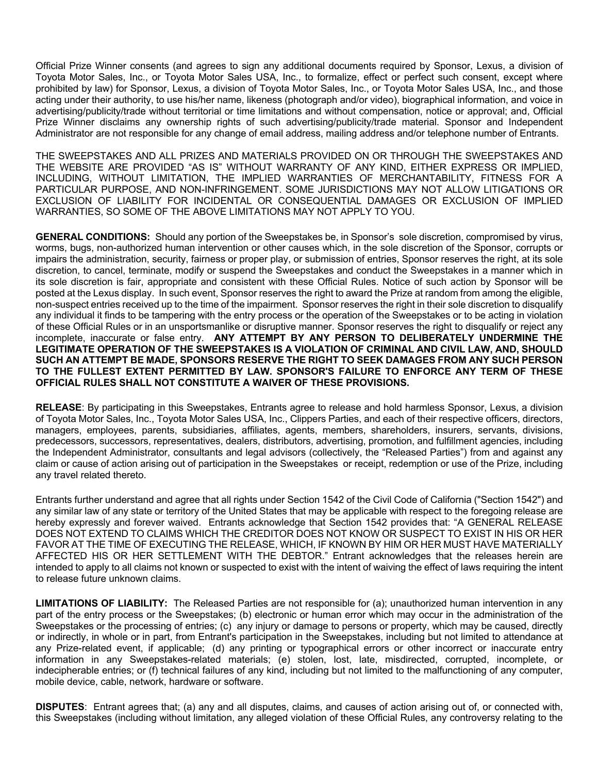Official Prize Winner consents (and agrees to sign any additional documents required by Sponsor, Lexus, a division of Toyota Motor Sales, Inc., or Toyota Motor Sales USA, Inc., to formalize, effect or perfect such consent, except where prohibited by law) for Sponsor, Lexus, a division of Toyota Motor Sales, Inc., or Toyota Motor Sales USA, Inc., and those acting under their authority, to use his/her name, likeness (photograph and/or video), biographical information, and voice in advertising/publicity/trade without territorial or time limitations and without compensation, notice or approval; and, Official Prize Winner disclaims any ownership rights of such advertising/publicity/trade material. Sponsor and Independent Administrator are not responsible for any change of email address, mailing address and/or telephone number of Entrants.

THE SWEEPSTAKES AND ALL PRIZES AND MATERIALS PROVIDED ON OR THROUGH THE SWEEPSTAKES AND THE WEBSITE ARE PROVIDED "AS IS" WITHOUT WARRANTY OF ANY KIND, EITHER EXPRESS OR IMPLIED, INCLUDING, WITHOUT LIMITATION, THE IMPLIED WARRANTIES OF MERCHANTABILITY, FITNESS FOR A PARTICULAR PURPOSE, AND NON-INFRINGEMENT. SOME JURISDICTIONS MAY NOT ALLOW LITIGATIONS OR EXCLUSION OF LIABILITY FOR INCIDENTAL OR CONSEQUENTIAL DAMAGES OR EXCLUSION OF IMPLIED WARRANTIES, SO SOME OF THE ABOVE LIMITATIONS MAY NOT APPLY TO YOU.

**GENERAL CONDITIONS:** Should any portion of the Sweepstakes be, in Sponsor's sole discretion, compromised by virus, worms, bugs, non-authorized human intervention or other causes which, in the sole discretion of the Sponsor, corrupts or impairs the administration, security, fairness or proper play, or submission of entries, Sponsor reserves the right, at its sole discretion, to cancel, terminate, modify or suspend the Sweepstakes and conduct the Sweepstakes in a manner which in its sole discretion is fair, appropriate and consistent with these Official Rules. Notice of such action by Sponsor will be posted at the Lexus display. In such event, Sponsor reserves the right to award the Prize at random from among the eligible, non-suspect entries received up to the time of the impairment. Sponsor reserves the right in their sole discretion to disqualify any individual it finds to be tampering with the entry process or the operation of the Sweepstakes or to be acting in violation of these Official Rules or in an unsportsmanlike or disruptive manner. Sponsor reserves the right to disqualify or reject any incomplete, inaccurate or false entry. **ANY ATTEMPT BY ANY PERSON TO DELIBERATELY UNDERMINE THE LEGITIMATE OPERATION OF THE SWEEPSTAKES IS A VIOLATION OF CRIMINAL AND CIVIL LAW, AND, SHOULD SUCH AN ATTEMPT BE MADE, SPONSORS RESERVE THE RIGHT TO SEEK DAMAGES FROM ANY SUCH PERSON TO THE FULLEST EXTENT PERMITTED BY LAW. SPONSOR'S FAILURE TO ENFORCE ANY TERM OF THESE OFFICIAL RULES SHALL NOT CONSTITUTE A WAIVER OF THESE PROVISIONS.**

**RELEASE**: By participating in this Sweepstakes, Entrants agree to release and hold harmless Sponsor, Lexus, a division of Toyota Motor Sales, Inc., Toyota Motor Sales USA, Inc., Clippers Parties, and each of their respective officers, directors, managers, employees, parents, subsidiaries, affiliates, agents, members, shareholders, insurers, servants, divisions, predecessors, successors, representatives, dealers, distributors, advertising, promotion, and fulfillment agencies, including the Independent Administrator, consultants and legal advisors (collectively, the "Released Parties") from and against any claim or cause of action arising out of participation in the Sweepstakes or receipt, redemption or use of the Prize, including any travel related thereto.

Entrants further understand and agree that all rights under Section 1542 of the Civil Code of California ("Section 1542") and any similar law of any state or territory of the United States that may be applicable with respect to the foregoing release are hereby expressly and forever waived. Entrants acknowledge that Section 1542 provides that: "A GENERAL RELEASE DOES NOT EXTEND TO CLAIMS WHICH THE CREDITOR DOES NOT KNOW OR SUSPECT TO EXIST IN HIS OR HER FAVOR AT THE TIME OF EXECUTING THE RELEASE, WHICH, IF KNOWN BY HIM OR HER MUST HAVE MATERIALLY AFFECTED HIS OR HER SETTLEMENT WITH THE DEBTOR." Entrant acknowledges that the releases herein are intended to apply to all claims not known or suspected to exist with the intent of waiving the effect of laws requiring the intent to release future unknown claims.

**LIMITATIONS OF LIABILITY:** The Released Parties are not responsible for (a); unauthorized human intervention in any part of the entry process or the Sweepstakes; (b) electronic or human error which may occur in the administration of the Sweepstakes or the processing of entries; (c) any injury or damage to persons or property, which may be caused, directly or indirectly, in whole or in part, from Entrant's participation in the Sweepstakes, including but not limited to attendance at any Prize-related event, if applicable; (d) any printing or typographical errors or other incorrect or inaccurate entry information in any Sweepstakes-related materials; (e) stolen, lost, late, misdirected, corrupted, incomplete, or indecipherable entries; or (f) technical failures of any kind, including but not limited to the malfunctioning of any computer, mobile device, cable, network, hardware or software.

**DISPUTES**: Entrant agrees that; (a) any and all disputes, claims, and causes of action arising out of, or connected with, this Sweepstakes (including without limitation, any alleged violation of these Official Rules, any controversy relating to the